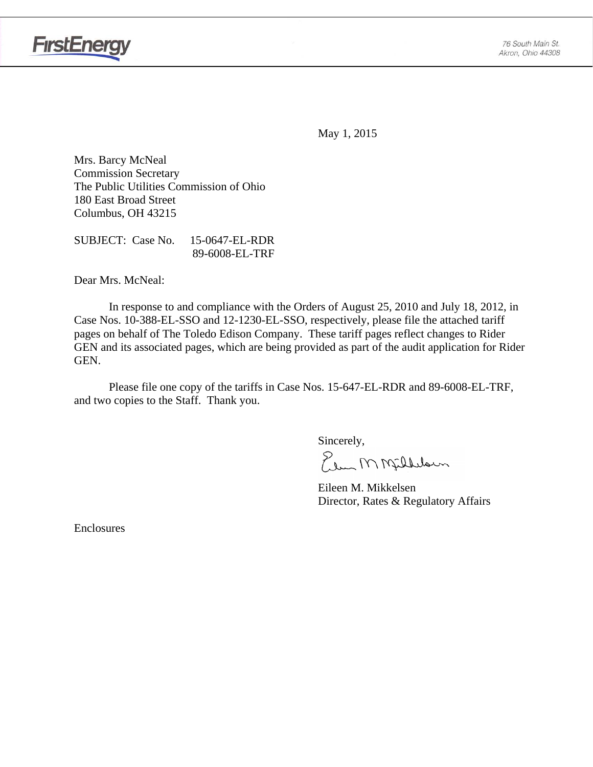

May 1, 2015

Mrs. Barcy McNeal Commission Secretary The Public Utilities Commission of Ohio 180 East Broad Street Columbus, OH 43215

SUBJECT: Case No. 15-0647-EL-RDR 89-6008-EL-TRF

Dear Mrs. McNeal:

 In response to and compliance with the Orders of August 25, 2010 and July 18, 2012, in Case Nos. 10-388-EL-SSO and 12-1230-EL-SSO, respectively, please file the attached tariff pages on behalf of The Toledo Edison Company. These tariff pages reflect changes to Rider GEN and its associated pages, which are being provided as part of the audit application for Rider GEN.

Please file one copy of the tariffs in Case Nos. 15-647-EL-RDR and 89-6008-EL-TRF, and two copies to the Staff. Thank you.

Sincerely,<br>Elem M Milbelsun

 Eileen M. Mikkelsen Director, Rates & Regulatory Affairs

Enclosures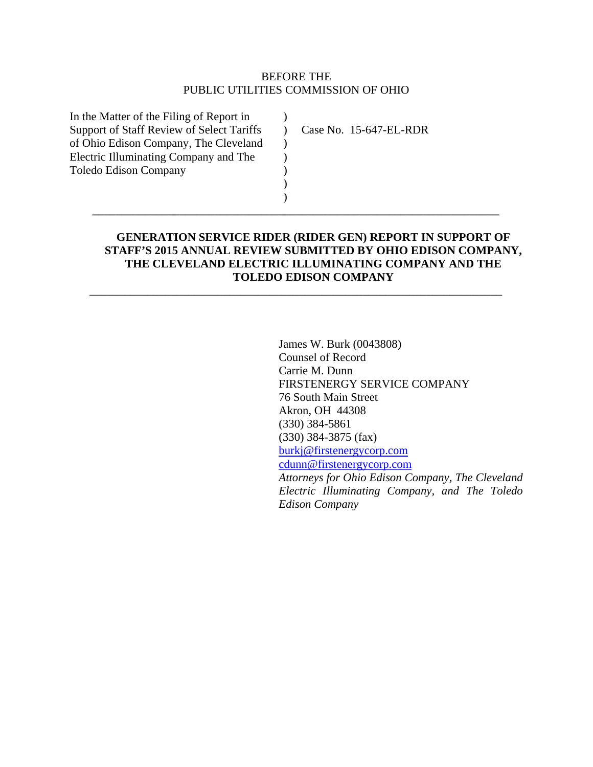## BEFORE THE PUBLIC UTILITIES COMMISSION OF OHIO

 $\lambda$  $\lambda$ )  $\mathcal{L}$ ) ) )

In the Matter of the Filing of Report in Support of Staff Review of Select Tariffs of Ohio Edison Company, The Cleveland Electric Illuminating Company and The Toledo Edison Company

Case No. 15-647-EL-RDR

# **GENERATION SERVICE RIDER (RIDER GEN) REPORT IN SUPPORT OF STAFF'S 2015 ANNUAL REVIEW SUBMITTED BY OHIO EDISON COMPANY, THE CLEVELAND ELECTRIC ILLUMINATING COMPANY AND THE TOLEDO EDISON COMPANY**

**\_\_\_\_\_\_\_\_\_\_\_\_\_\_\_\_\_\_\_\_\_\_\_\_\_\_\_\_\_\_\_\_\_\_\_\_\_\_\_\_\_\_\_\_\_\_\_\_\_\_\_\_\_\_\_\_\_\_\_\_\_\_\_\_\_\_\_\_\_\_** 

\_\_\_\_\_\_\_\_\_\_\_\_\_\_\_\_\_\_\_\_\_\_\_\_\_\_\_\_\_\_\_\_\_\_\_\_\_\_\_\_\_\_\_\_\_\_\_\_\_\_\_\_\_\_\_\_\_\_\_\_\_\_\_\_\_\_\_\_\_\_\_

James W. Burk (0043808) Counsel of Record Carrie M. Dunn FIRSTENERGY SERVICE COMPANY 76 South Main Street Akron, OH 44308 (330) 384-5861 (330) 384-3875 (fax) burkj@firstenergycorp.com cdunn@firstenergycorp.com *Attorneys for Ohio Edison Company, The Cleveland Electric Illuminating Company, and The Toledo Edison Company*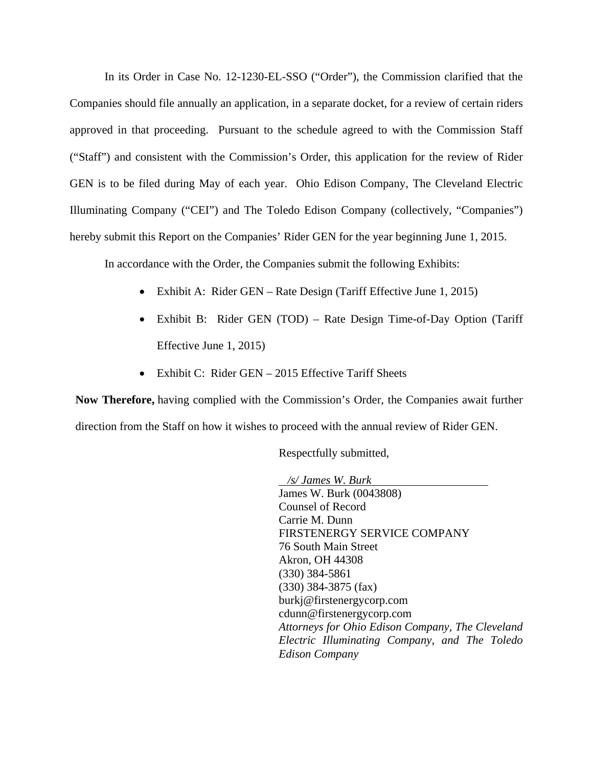In its Order in Case No. 12-1230-EL-SSO ("Order"), the Commission clarified that the Companies should file annually an application, in a separate docket, for a review of certain riders approved in that proceeding. Pursuant to the schedule agreed to with the Commission Staff ("Staff") and consistent with the Commission's Order, this application for the review of Rider GEN is to be filed during May of each year. Ohio Edison Company, The Cleveland Electric Illuminating Company ("CEI") and The Toledo Edison Company (collectively, "Companies") hereby submit this Report on the Companies' Rider GEN for the year beginning June 1, 2015.

In accordance with the Order, the Companies submit the following Exhibits:

- Exhibit A: Rider GEN Rate Design (Tariff Effective June 1, 2015)
- Exhibit B: Rider GEN (TOD) Rate Design Time-of-Day Option (Tariff Effective June 1, 2015)
- Exhibit C: Rider GEN 2015 Effective Tariff Sheets

**Now Therefore,** having complied with the Commission's Order, the Companies await further direction from the Staff on how it wishes to proceed with the annual review of Rider GEN.

Respectfully submitted,

 */s/ James W. Burk*  James W. Burk (0043808) Counsel of Record Carrie M. Dunn FIRSTENERGY SERVICE COMPANY 76 South Main Street Akron, OH 44308 (330) 384-5861 (330) 384-3875 (fax) burkj@firstenergycorp.com cdunn@firstenergycorp.com *Attorneys for Ohio Edison Company, The Cleveland Electric Illuminating Company, and The Toledo Edison Company*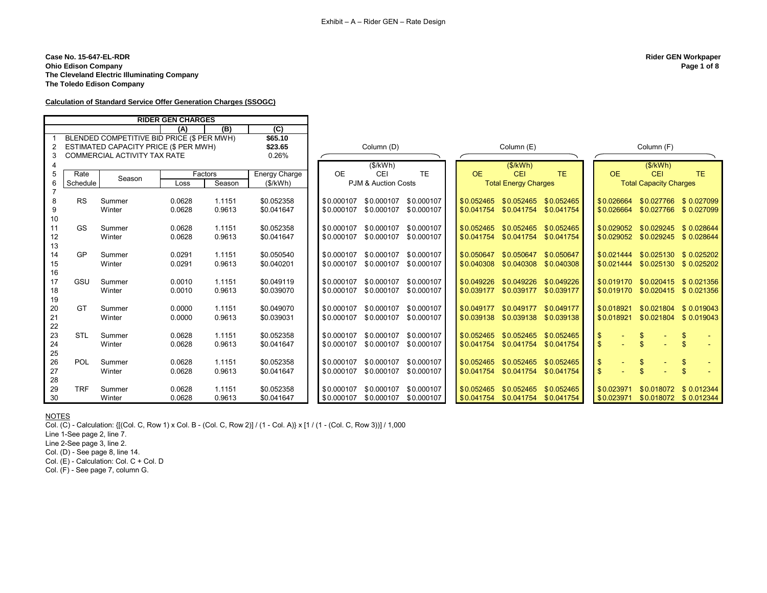**Case No. 15-647-EL-RDR Rider GEN Workpaper Ohio Edison Company The Cleveland Electric Illuminating Company The Toledo Edison Company**

## **Calculation of Standard Service Offer Generation Charges (SSOGC)**

|                  |            |                                            | <b>RIDER GEN CHARGES</b> |         |                      |            |                       |            |              |                             |                         |               |                                  |                       |
|------------------|------------|--------------------------------------------|--------------------------|---------|----------------------|------------|-----------------------|------------|--------------|-----------------------------|-------------------------|---------------|----------------------------------|-----------------------|
|                  |            |                                            | (A)                      | (B)     | $\overline{C}$       |            |                       |            |              |                             |                         |               |                                  |                       |
|                  |            | BLENDED COMPETITIVE BID PRICE (\$ PER MWH) |                          |         | \$65.10              |            |                       |            |              |                             |                         |               |                                  |                       |
| $\overline{2}$   |            | ESTIMATED CAPACITY PRICE (\$ PER MWH)      |                          |         | \$23.65              |            | Column (D)            |            |              | Column (E)                  |                         |               | Column (F)                       |                       |
| 3                |            | COMMERCIAL ACTIVITY TAX RATE               |                          |         | 0.26%                |            |                       |            |              |                             |                         |               |                                  |                       |
|                  |            |                                            |                          |         |                      |            | (S/KWh)               |            |              | (S/KWh)                     |                         |               | (S/KWh)                          |                       |
| 5                | Rate       |                                            |                          | Factors | <b>Energy Charge</b> | <b>OE</b>  | <b>CEI</b>            | <b>TE</b>  | <b>OE</b>    | <b>CEI</b>                  | <b>TE</b>               | <b>OE</b>     | <b>CEI</b>                       | TE.                   |
| 6                | Schedule   | Season                                     | Loss                     | Season  | (\$/kWh)             |            | PJM & Auction Costs   |            |              | <b>Total Energy Charges</b> |                         |               | <b>Total Capacity Charges</b>    |                       |
|                  |            |                                            |                          |         |                      |            |                       |            |              |                             |                         |               |                                  |                       |
| $\bf 8$          | <b>RS</b>  | Summer                                     | 0.0628                   | 1.1151  | \$0.052358           | \$0.000107 | \$0.000107            | \$0.000107 | \$0.052465   |                             | \$0.052465 \$0.052465   | \$0.026664    | \$0.027766                       | \$ 0.027099           |
| $\boldsymbol{9}$ |            | Winter                                     | 0.0628                   | 0.9613  | \$0.041647           | \$0.000107 | \$0.000107            | \$0.000107 | \$0.041754   |                             | \$0.041754 \$0.041754   | \$0.026664    |                                  | \$0.027766 \$0.027099 |
| 10               |            |                                            |                          |         |                      |            |                       |            |              |                             |                         |               |                                  |                       |
| 11               | <b>GS</b>  | Summer                                     | 0.0628                   | 1.1151  | \$0.052358           |            | \$0.000107 \$0.000107 | \$0.000107 | \$0.052465   |                             | \$0.052465 \$0.052465   | \$0.029052    |                                  | \$0.029245 \$0.028644 |
| 12               |            | Winter                                     | 0.0628                   | 0.9613  | \$0.041647           | \$0.000107 | \$0.000107            | \$0.000107 | \$0.041754   | \$0.041754                  | \$0.041754              |               | \$0.029052 \$0.029245 \$0.028644 |                       |
| 13               |            |                                            |                          |         |                      |            |                       |            |              |                             |                         |               |                                  |                       |
| 14               | GP         | Summer                                     | 0.0291                   | 1.1151  | \$0.050540           | \$0.000107 | \$0.000107            | \$0.000107 | \$0.050647   | \$0.050647                  | \$0.050647              | \$0.021444    |                                  | \$0.025130 \$0.025202 |
| 15               |            | Winter                                     | 0.0291                   | 0.9613  | \$0.040201           | \$0.000107 | \$0.000107            | \$0.000107 | \$0.040308   |                             | \$0.040308 \$0.040308   | \$0.021444    |                                  | \$0.025130 \$0.025202 |
| 16               |            |                                            |                          |         |                      |            |                       |            |              |                             |                         |               |                                  |                       |
| 17               | GSU        | Summer                                     | 0.0010                   | 1.1151  | \$0.049119           | \$0.000107 | \$0.000107            | \$0.000107 | \$0.049226   |                             | \$0.049226 \$0.049226   | \$0.019170    |                                  | \$0.020415 \$0.021356 |
| 18               |            | Winter                                     | 0.0010                   | 0.9613  | \$0.039070           | \$0.000107 | \$0.000107            | \$0.000107 | \$0.039177   |                             | \$0.039177 \$0.039177   | \$0.019170    |                                  | \$0.020415 \$0.021356 |
| 19               |            |                                            |                          |         |                      |            |                       |            |              |                             |                         |               |                                  |                       |
| 20               | GT         | Summer                                     | 0.0000                   | 1.1151  | \$0.049070           | \$0.000107 | \$0.000107            | \$0.000107 | $S$ 0.049177 | \$0.049177                  | \$0.049177              | \$0.018921    | \$0.021804                       | \$0.019043            |
| 21               |            | Winter                                     | 0.0000                   | 0.9613  | \$0.039031           | \$0.000107 | \$0.000107            | \$0.000107 | \$0.039138   |                             | \$0.039138 \$0.039138   | \$0.018921    |                                  | \$0.021804 \$0.019043 |
| 22               |            |                                            |                          |         |                      |            |                       |            |              |                             |                         |               |                                  |                       |
| 23               | <b>STL</b> | Summer                                     | 0.0628                   | 1.1151  | \$0.052358           | \$0.000107 | \$0.000107            | \$0.000107 | \$0.052465   |                             | \$0.052465 \$0.052465   | $\frac{3}{2}$ | \$                               | $\$\$                 |
| 24               |            | Winter                                     | 0.0628                   | 0.9613  | \$0.041647           | \$0.000107 | \$0.000107            | \$0.000107 | \$0.041754   |                             | \$0.041754 \$0.041754   | $\mathbf{\$}$ | $\mathbb{S}$                     | $\mathbb{S}$          |
| 25               |            |                                            |                          |         |                      |            |                       |            |              |                             |                         |               |                                  |                       |
| 26               | POL        | Summer                                     | 0.0628                   | 1.1151  | \$0.052358           | \$0.000107 | \$0.000107            | \$0.000107 | \$0.052465   |                             | \$0.052465 \$0.052465   | $\sqrt[6]{3}$ | \$                               | $\frac{1}{2}$         |
| 27               |            | Winter                                     | 0.0628                   | 0.9613  | \$0.041647           | \$0.000107 | \$0.000107            | \$0.000107 | \$0.041754   | \$0.041754                  | \$0.041754              | $\mathbf{\$}$ | $\mathbf{\$}$                    | $\mathbb{S}$          |
| 28               |            |                                            |                          |         |                      |            |                       |            |              |                             |                         |               |                                  |                       |
| 29               | <b>TRF</b> | Summer                                     | 0.0628                   | 1.1151  | \$0.052358           | \$0.000107 | \$0.000107            | \$0.000107 | \$0.052465   |                             | $$0.052465$ $$0.052465$ | \$0.023971    |                                  | \$0.018072 \$0.012344 |
| 30               |            | Winter                                     | 0.0628                   | 0.9613  | \$0.041647           |            | \$0.000107 \$0.000107 | \$0.000107 | \$0.041754   |                             | \$0.041754 \$0.041754   | \$0.023971    |                                  | \$0.018072 \$0.012344 |

# **NOTES**

Col. (C) - Calculation: { $[(Col. C, Row 1) \times Col. B - (Col. C, Row 2)] / (1 - Col. A)$ } x  $[1 / (1 - (Col. C, Row 3))] / 1,000$ 

Line 1-See page 2, line 7.

Line 2-See page 3, line 2.

Col. (D) - See page 8, line 14.

Col. (E) - Calculation: Col. C + Col. D

Col. (F) - See page 7, column G.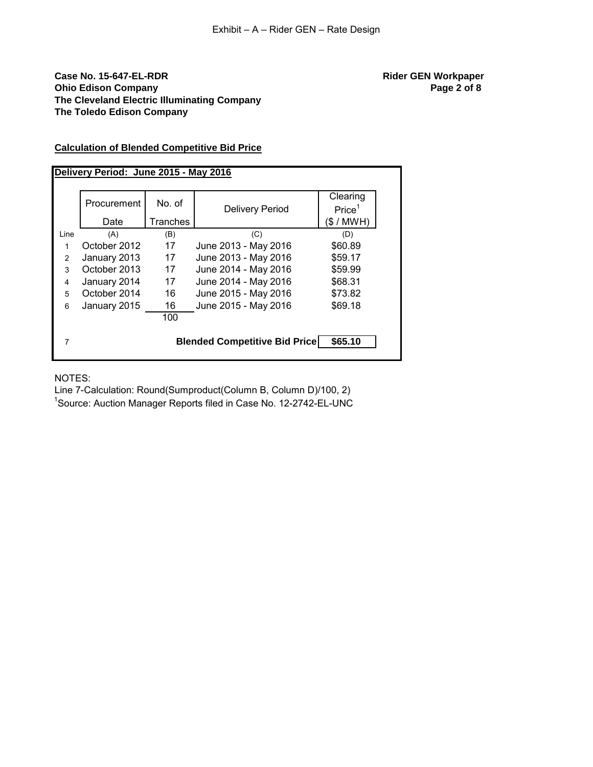## **Case No. 15-647-EL-RDR Rider GEN Workpaper Ohio Edison Company Page 2 of 8 Page 2 of 8 The Cleveland Electric Illuminating Company The Toledo Edison Company**

## **Calculation of Blended Competitive Bid Price**

|                |              |          |                                      | Clearing           |
|----------------|--------------|----------|--------------------------------------|--------------------|
|                | Procurement  | No. of   | <b>Delivery Period</b>               | Price <sup>1</sup> |
|                | Date         | Tranches |                                      | (\$ / MWH)         |
| Line           | (A)          | (B)      | (C)                                  | (D)                |
| 1              | October 2012 | 17       | June 2013 - May 2016                 | \$60.89            |
| $\overline{2}$ | January 2013 | 17       | June 2013 - May 2016                 | \$59.17            |
| 3              | October 2013 | 17       | June 2014 - May 2016                 | \$59.99            |
| $\overline{4}$ | January 2014 | 17       | June 2014 - May 2016                 | \$68.31            |
| 5              | October 2014 | 16       | June 2015 - May 2016                 | \$73.82            |
| 6              | January 2015 | 16       | June 2015 - May 2016                 | \$69.18            |
|                |              | 100      |                                      |                    |
|                |              |          | <b>Blended Competitive Bid Price</b> | \$65.10            |

## NOTES:

Line 7-Calculation: Round(Sumproduct(Column B, Column D)/100, 2)

<sup>1</sup>Source: Auction Manager Reports filed in Case No. 12-2742-EL-UNC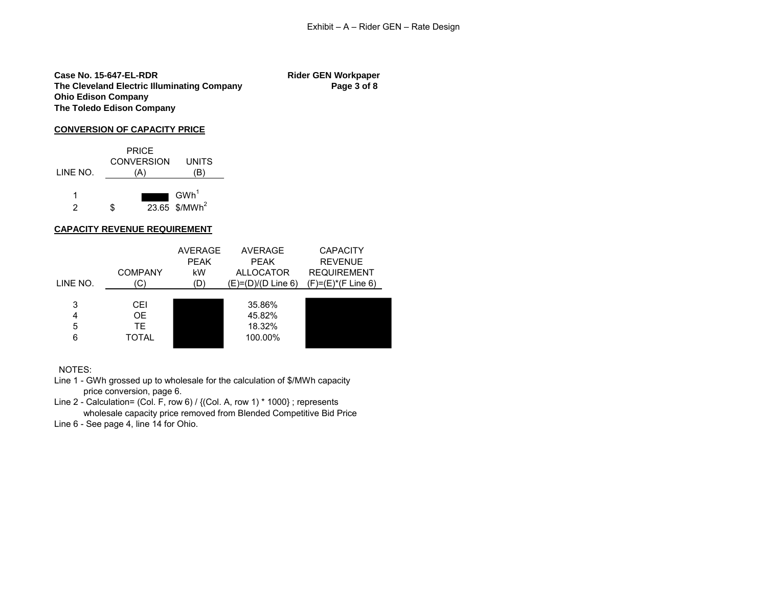**Case No. 15-647-EL-RDR Rider GEN Workpaper** The Cleveland Electric Illuminating Company **Page 3 of 8 Ohio Edison Company The Toledo Edison Company**

## **CONVERSION OF CAPACITY PRICE**



### **CAPACITY REVENUE REQUIREMENT**

| LINE NO.         | <b>COMPANY</b><br>'C)            | <b>AVERAGE</b><br><b>PEAK</b><br>kW<br>(D) | <b>AVERAGE</b><br><b>PEAK</b><br><b>ALLOCATOR</b><br>$(E)= (D)/(D$ Line 6) | <b>CAPACITY</b><br><b>REVENUE</b><br><b>REQUIREMENT</b><br>$(F)=(E)^*(F$ Line 6) |
|------------------|----------------------------------|--------------------------------------------|----------------------------------------------------------------------------|----------------------------------------------------------------------------------|
| 3<br>4<br>5<br>6 | CEI<br>OE.<br>TE<br><b>TOTAL</b> |                                            | 35.86%<br>45.82%<br>18.32%<br>100.00%                                      |                                                                                  |

NOTES:

Line 1 - GWh grossed up to wholesale for the calculation of \$/MWh capacity price conversion, page 6.

Line 2 - Calculation= (Col. F, row 6) / {(Col. A, row 1) \* 1000} ; represents wholesale capacity price removed from Blended Competitive Bid Price Line 6 - See page 4, line 14 for Ohio.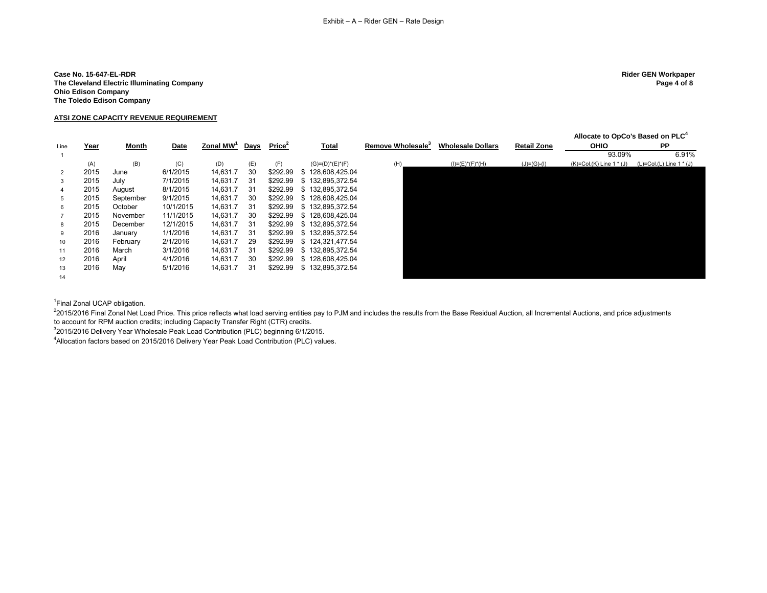## **Case No. 15-647-EL-RDR Rider GEN Workpaper The Cleveland Electric Illuminating Company Page 4 of 8 Ohio Edison Company The Toledo Edison Company**

## **ATSI ZONE CAPACITY REVENUE REQUIREMENT**

|                 |             |              |           |                       |             |                    |                       |                               |                          |                    | Allocate to OpCo's Based on PLC <sup>4</sup> |                            |
|-----------------|-------------|--------------|-----------|-----------------------|-------------|--------------------|-----------------------|-------------------------------|--------------------------|--------------------|----------------------------------------------|----------------------------|
| Line            | <u>Year</u> | <b>Month</b> | Date      | Zonal MW <sup>1</sup> | <b>Days</b> | Price <sup>2</sup> | <b>Total</b>          | Remove Wholesale <sup>3</sup> | <b>Wholesale Dollars</b> | <b>Retail Zone</b> | <b>OHIO</b>                                  | <b>PP</b>                  |
|                 |             |              |           |                       |             |                    |                       |                               |                          |                    | 93.09%                                       | 6.91%                      |
|                 | (A)         | (B)          | (C)       | (D)                   | (E)         | (F)                | $(G) = (D)^*(E)^*(F)$ | (H)                           | $(I) = (E)^*(F)^*(H)$    | $(J)=(G)-(I)$      | $(K)=Col(K)$ Line 1 $*(J)$                   | $(L)=Col(L)$ Line 1 $*(J)$ |
| $\overline{2}$  | 2015        | June         | 6/1/2015  | 14,631.7              | 30          | \$292.99           | \$128,608,425.04      |                               |                          |                    |                                              |                            |
| $\mathbf{3}$    | 2015        | July         | 7/1/2015  | 14,631.7              | 31          | \$292.99           | \$132,895,372.54      |                               |                          |                    |                                              |                            |
| $\overline{4}$  | 2015        | August       | 8/1/2015  | 14,631.7              | 31          | \$292.99           | \$132,895,372.54      |                               |                          |                    |                                              |                            |
| $5^{\circ}$     | 2015        | September    | 9/1/2015  | 14,631.7              | 30          | \$292.99           | \$128,608,425.04      |                               |                          |                    |                                              |                            |
| 6               | 2015        | October      | 10/1/2015 | 14,631.7              | 31          | \$292.99           | \$132,895,372.54      |                               |                          |                    |                                              |                            |
| $\overline{7}$  | 2015        | November     | 11/1/2015 | 14,631.7              | 30          | \$292.99           | \$128,608,425.04      |                               |                          |                    |                                              |                            |
| 8               | 2015        | December     | 12/1/2015 | 14,631.7              | 31          | \$292.99           | \$132,895,372.54      |                               |                          |                    |                                              |                            |
| 9               | 2016        | January      | 1/1/2016  | 14,631.7              | 31          | \$292.99           | \$132,895,372.54      |                               |                          |                    |                                              |                            |
| 10 <sup>°</sup> | 2016        | February     | 2/1/2016  | 14,631.7              | 29          | \$292.99           | \$124,321,477.54      |                               |                          |                    |                                              |                            |
| 11              | 2016        | March        | 3/1/2016  | 14,631.7              | 31          | \$292.99           | \$132,895,372.54      |                               |                          |                    |                                              |                            |
| 12              | 2016        | April        | 4/1/2016  | 14,631.7              | 30          | \$292.99           | \$128,608,425.04      |                               |                          |                    |                                              |                            |
| 13              | 2016        | May          | 5/1/2016  | 14,631.7              | 31          | \$292.99           | \$132,895,372.54      |                               |                          |                    |                                              |                            |
| 14              |             |              |           |                       |             |                    |                       |                               |                          |                    |                                              |                            |

<sup>1</sup> Final Zonal UCAP obligation.

<sup>2</sup>2015/2016 Final Zonal Net Load Price. This price reflects what load serving entities pay to PJM and includes the results from the Base Residual Auction, all Incremental Auctions, and price adjustments to account for RPM auction credits; including Capacity Transfer Right (CTR) credits.

<sup>3</sup>2015/2016 Delivery Year Wholesale Peak Load Contribution (PLC) beginning 6/1/2015.

<sup>4</sup> Allocation factors based on 2015/2016 Delivery Year Peak Load Contribution (PLC) values.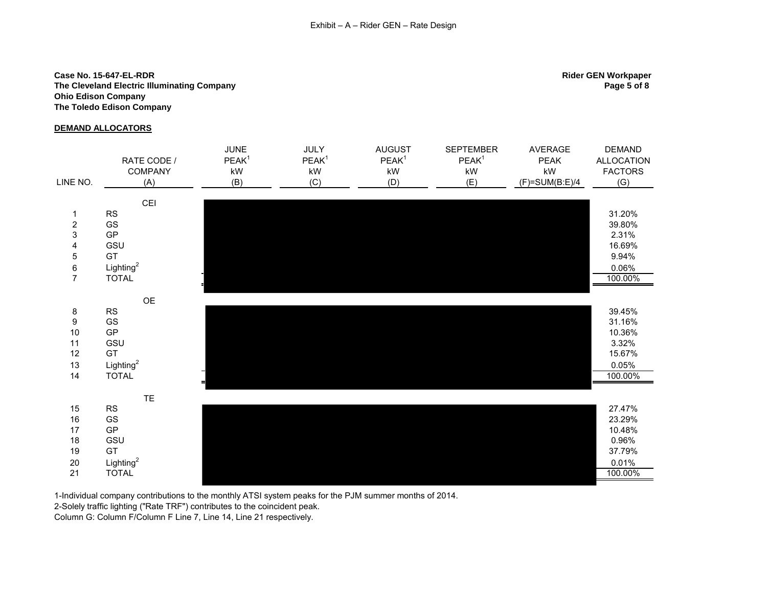## **Case No. 15-647-EL-RDR Rider GEN Workpaper The Cleveland Electric Illuminating Company Page 5 of 8 Ohio Edison Company The Toledo Edison Company**

## **DEMAND ALLOCATORS**

JUNE JULY AUGUST SEPTEMBER AVERAGE DEMAND RATE CODE / PEAK<sup>1</sup> PEAK<sup>1</sup> PEAK<sup>1</sup> PEAK<sup>1</sup> PEAK ALLOCATION<br>kW FACTORS COMPANY kW kW kW kW kW FACTORS LINE NO. (A) (B) (C) (D) (E) (F)=SUM(B:E)/4 (G) CEI 1 RS 31.20% 2 GS 39.80%  $3$  GP  $2.31\%$ 4 GSU 16.69% 5 GT 9.94% 6 Lighting<sup>2</sup><br>7 TOTAL  $\frac{0.06\%}{100.00\%}$ 7 TOTAL 100.00% OE 8 RS 39.45% 9 GS 31.16% 10 GP 10.36% 11 GSU 3.32% 12 GT 15.67% 13 Lighting<sup>2</sup><br>14 TOTAL  $\frac{0.05\%}{100.00\%}$ 14 TOTAL 100.00% TE 15 RS 27.47% 16 GS 23.29% 17 GP 10.48% 18 GSU 0.96% 19 GT 37.79% 20 Lighting<sup>2</sup><br>21 TOTAL  $\frac{0.01\%}{100.00\%}$ 21 TOTAL 100.00%

1-Individual company contributions to the monthly ATSI system peaks for the PJM summer months of 2014.

2-Solely traffic lighting ("Rate TRF") contributes to the coincident peak.

Column G: Column F/Column F Line 7, Line 14, Line 21 respectively.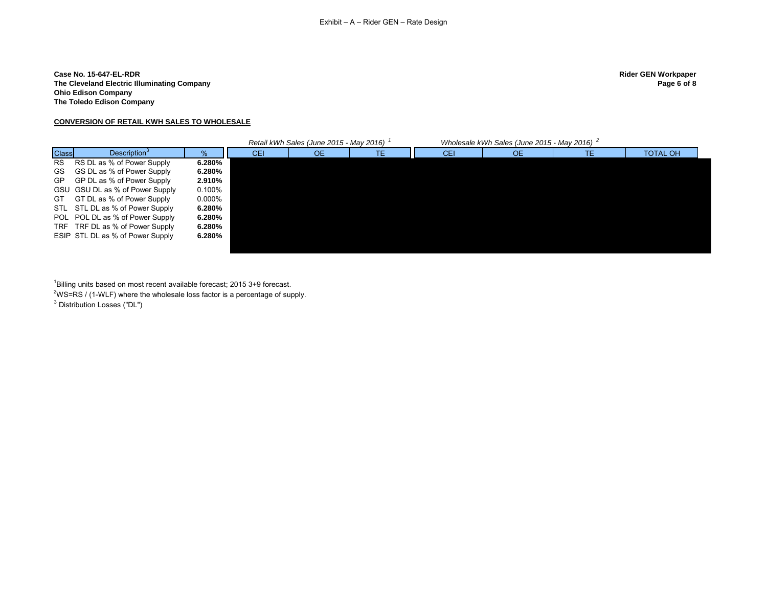## **Case No. 15-647-EL-RDR Rider GEN Workpaper The Cleveland Electric Illuminating Company Ohio Edison Company The Toledo Edison Company**

# **CONVERSION OF RETAIL KWH SALES TO WHOLESALE**

|              |                                  |        |     | Retail kWh Sales (June 2015 - May 2016) |    |     | Wholesale kWh Sales (June 2015 - May 2016) |    |                 |
|--------------|----------------------------------|--------|-----|-----------------------------------------|----|-----|--------------------------------------------|----|-----------------|
| <b>Class</b> | Description <sup>3</sup>         | $\%$   | CEI | 0E                                      | ТE | CEI | OE.                                        | ТE | <b>TOTAL OH</b> |
| <b>RS</b>    | RS DL as % of Power Supply       | 6.280% |     |                                         |    |     |                                            |    |                 |
| GS.          | GS DL as % of Power Supply       | 6.280% |     |                                         |    |     |                                            |    |                 |
| GP.          | GP DL as % of Power Supply       | 2.910% |     |                                         |    |     |                                            |    |                 |
|              | GSU GSU DL as % of Power Supply  | 0.100% |     |                                         |    |     |                                            |    |                 |
| GT.          | GT DL as % of Power Supply       | 0.000% |     |                                         |    |     |                                            |    |                 |
|              | STL STL DL as % of Power Supply  | 6.280% |     |                                         |    |     |                                            |    |                 |
|              | POL POL DL as % of Power Supply  | 6.280% |     |                                         |    |     |                                            |    |                 |
| TRF          | TRF DL as % of Power Supply      | 6.280% |     |                                         |    |     |                                            |    |                 |
|              | ESIP STL DL as % of Power Supply | 6.280% |     |                                         |    |     |                                            |    |                 |
|              |                                  |        |     |                                         |    |     |                                            |    |                 |

 $1$ Billing units based on most recent available forecast; 2015 3+9 forecast.

 $2WS = RS / (1-WLF)$  where the wholesale loss factor is a percentage of supply.

 $^3$  Distribution Losses ("DL")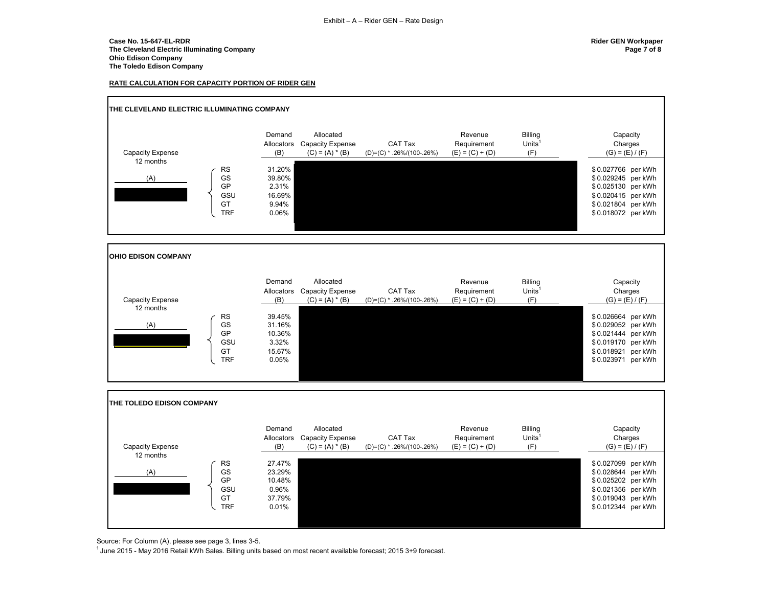## **Case No. 15-647-EL-RDR Rider GEN Workpaper The Cleveland Electric Illuminating Company Page 7 of 8 Ohio Edison Company The Toledo Edison Company**

## **RATE CALCULATION FOR CAPACITY PORTION OF RIDER GEN**



Source: For Column (A), please see page 3, lines 3-5.

 $1$ June 2015 - May 2016 Retail kWh Sales. Billing units based on most recent available forecast; 2015 3+9 forecast.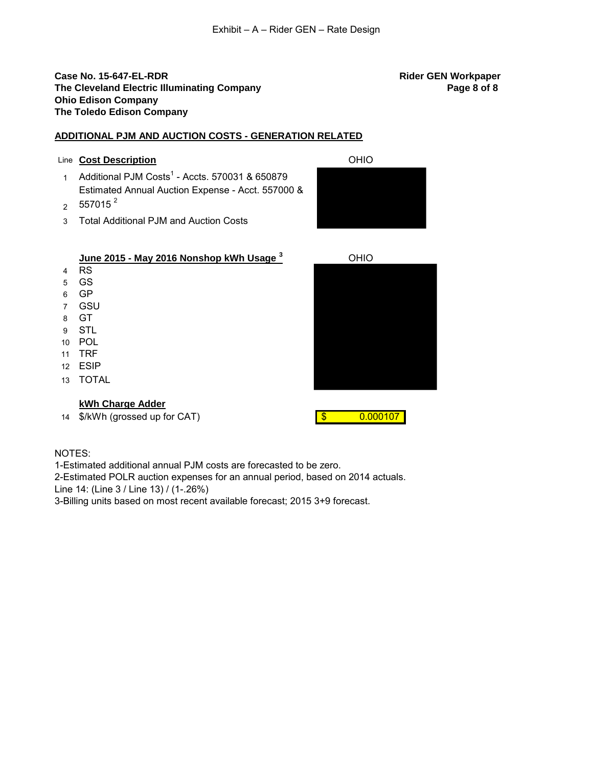## **Case No. 15-647-EL-RDR Rider GEN Workpaper The Cleveland Electric Illuminating Company <b>Page 8 of 8 Page 8 of 8 Page 8 of 8 Ohio Edison Company The Toledo Edison Company**

## **ADDITIONAL PJM AND AUCTION COSTS - GENERATION RELATED**

## Line **Cost Description** OHIO

- 1 Additional PJM Costs<sup>1</sup> Accts. 570031 & 650879 Estimated Annual Auction Expense - Acct. 557000 &
- $2\quad 557015$   $^2$
- 3 Total Additional PJM and Auction Costs



# **June 2015 - May 2016 Nonshop kWh Usage <sup>3</sup>** OHIO

- 4 RS
- 5 GS
- 6 GP 7 GSU
- 
- 8 GT 9 STL
- 10 POL
- 11 TRF
- 12 ESIP
- 13 TOTAL

# **kWh Charge Adder**

14 \$/kWh (grossed up for CAT)  $\frac{1}{3}$  0.000107



## NOTES:

1-Estimated additional annual PJM costs are forecasted to be zero.

2-Estimated POLR auction expenses for an annual period, based on 2014 actuals. Line 14: (Line 3 / Line 13) / (1-.26%)

3-Billing units based on most recent available forecast; 2015 3+9 forecast.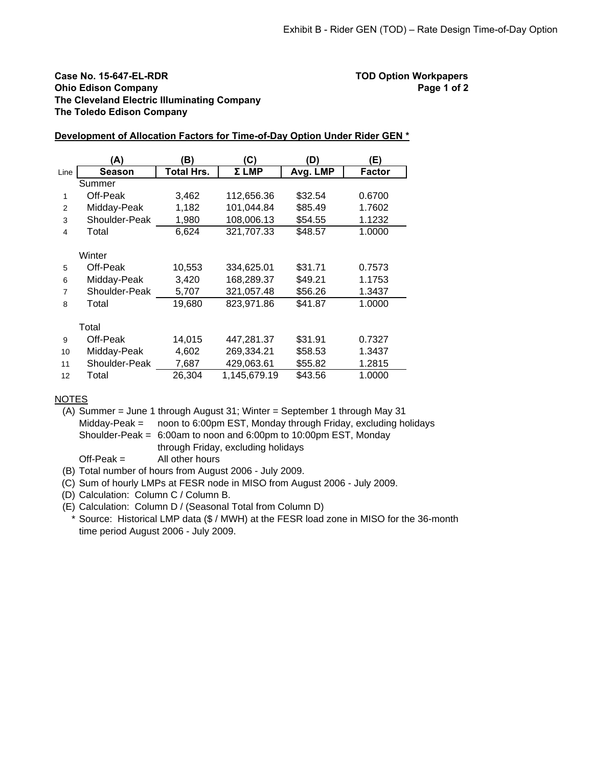## **Case No. 15-647-EL-RDR TOD Option Workpapers Ohio Edison Company Page 1 of 2 The Cleveland Electric Illuminating Company The Toledo Edison Company**

|                          | (A)           | B)                | (C)          | (D)      | (E)           |
|--------------------------|---------------|-------------------|--------------|----------|---------------|
| Line                     | Season        | <b>Total Hrs.</b> | Σ LMP        | Avg. LMP | <b>Factor</b> |
|                          | Summer        |                   |              |          |               |
| 1                        | Off-Peak      | 3,462             | 112,656.36   | \$32.54  | 0.6700        |
| 2                        | Midday-Peak   | 1,182             | 101,044.84   | \$85.49  | 1.7602        |
| 3                        | Shoulder-Peak | 1,980             | 108,006.13   | \$54.55  | 1.1232        |
| $\overline{\mathcal{L}}$ | Total         | 6,624             | 321,707.33   | \$48.57  | 1.0000        |
|                          |               |                   |              |          |               |
|                          | Winter        |                   |              |          |               |
| 5                        | Off-Peak      | 10,553            | 334,625.01   | \$31.71  | 0.7573        |
| 6                        | Midday-Peak   | 3,420             | 168,289.37   | \$49.21  | 1.1753        |
| 7                        | Shoulder-Peak | 5,707             | 321,057.48   | \$56.26  | 1.3437        |
| 8                        | Total         | 19,680            | 823,971.86   | \$41.87  | 1.0000        |
|                          |               |                   |              |          |               |
|                          | Total         |                   |              |          |               |
| 9                        | Off-Peak      | 14,015            | 447,281.37   | \$31.91  | 0.7327        |
| 10                       | Midday-Peak   | 4,602             | 269,334.21   | \$58.53  | 1.3437        |
| 11                       | Shoulder-Peak | 7,687             | 429,063.61   | \$55.82  | 1.2815        |
| 12                       | Total         | 26,304            | 1,145,679.19 | \$43.56  | 1.0000        |

## **Development of Allocation Factors for Time-of-Day Option Under Rider GEN \***

## NOTES

(A) Summer = June 1 through August 31; Winter = September 1 through May 31 Midday-Peak = noon to 6:00pm EST, Monday through Friday, excluding holidays Shoulder-Peak = 6:00am to noon and 6:00pm to 10:00pm EST, Monday through Friday, excluding holidays

 $Off-Peak =$  All other hours

- (B) Total number of hours from August 2006 July 2009.
- (C) Sum of hourly LMPs at FESR node in MISO from August 2006 July 2009.
- (D) Calculation: Column C / Column B.
- (E) Calculation: Column D / (Seasonal Total from Column D)
- \* Source: Historical LMP data (\$ / MWH) at the FESR load zone in MISO for the 36-month time period August 2006 - July 2009.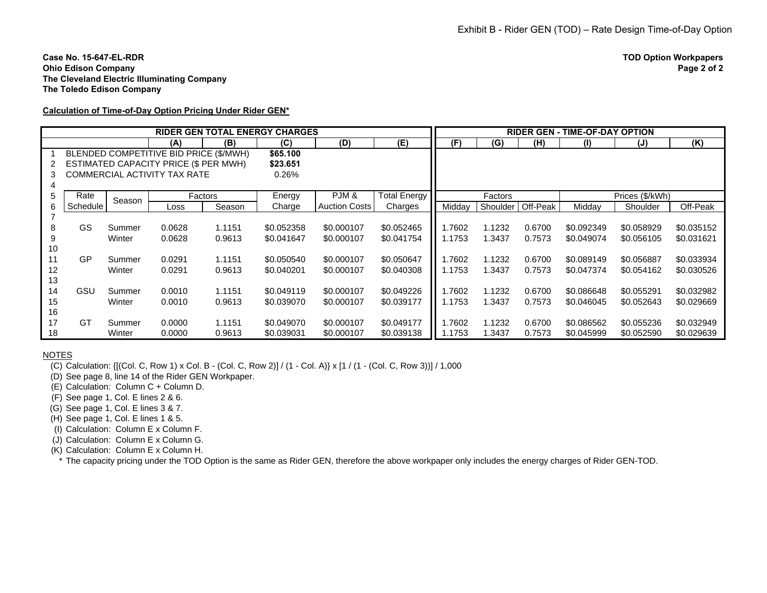### **Case No. 15-647-EL-RDROhio Edison Company The Cleveland Electric Illuminating Company The Toledo Edison Company**

## **Calculation of Time-of-Day Option Pricing Under Rider GEN\***

|    |                                        |        |        | <b>RIDER GEN TOTAL ENERGY CHARGES</b> |            |                      |              | <b>RIDER GEN - TIME-OF-DAY OPTION</b> |          |          |                 |            |            |
|----|----------------------------------------|--------|--------|---------------------------------------|------------|----------------------|--------------|---------------------------------------|----------|----------|-----------------|------------|------------|
|    |                                        |        | (A)    | (B)                                   | (C)        | (D)                  | (E)          | (F)                                   | (G)      | (H)      | $\mathbf{I}$    | (J)        | (K)        |
|    | BLENDED COMPETITIVE BID PRICE (\$/MWH) |        |        |                                       |            |                      |              |                                       |          |          |                 |            |            |
| 2  | ESTIMATED CAPACITY PRICE (\$ PER MWH)  |        |        | \$23.651                              |            |                      |              |                                       |          |          |                 |            |            |
| 3  | COMMERCIAL ACTIVITY TAX RATE           |        |        |                                       | 0.26%      |                      |              |                                       |          |          |                 |            |            |
|    |                                        |        |        |                                       |            |                      |              |                                       |          |          |                 |            |            |
| 5  | Rate                                   | Season |        | Factors                               | Energy     | PJM&                 | Total Energy |                                       | Factors  |          | Prices (\$/kWh) |            |            |
| 6  | <b>Schedule</b>                        |        | Loss   | Season                                | Charge     | <b>Auction Costs</b> | Charges      | Midday                                | Shoulder | Off-Peak | Midday          | Shoulder   | Off-Peak   |
|    |                                        |        |        |                                       |            |                      |              |                                       |          |          |                 |            |            |
| 8  | <b>GS</b>                              | Summer | 0.0628 | 1.1151                                | \$0.052358 | \$0.000107           | \$0.052465   | 1.7602                                | 1.1232   | 0.6700   | \$0.092349      | \$0.058929 | \$0.035152 |
| 9  |                                        | Winter | 0.0628 | 0.9613                                | \$0.041647 | \$0.000107           | \$0.041754   | 1.1753                                | 1.3437   | 0.7573   | \$0.049074      | \$0.056105 | \$0.031621 |
| 10 |                                        |        |        |                                       |            |                      |              |                                       |          |          |                 |            |            |
| 11 | GP                                     | Summer | 0.0291 | 1.1151                                | \$0.050540 | \$0.000107           | \$0.050647   | 1.7602                                | 1.1232   | 0.6700   | \$0.089149      | \$0.056887 | \$0.033934 |
| 12 |                                        | Winter | 0.0291 | 0.9613                                | \$0.040201 | \$0.000107           | \$0.040308   | 1.1753                                | 1.3437   | 0.7573   | \$0.047374      | \$0.054162 | \$0.030526 |
| 13 |                                        |        |        |                                       |            |                      |              |                                       |          |          |                 |            |            |
| 14 | GSU                                    | Summer | 0.0010 | 1.1151                                | \$0.049119 | \$0.000107           | \$0.049226   | 1.7602                                | 1.1232   | 0.6700   | \$0.086648      | \$0.055291 | \$0.032982 |
| 15 |                                        | Winter | 0.0010 | 0.9613                                | \$0.039070 | \$0.000107           | \$0.039177   | 1.1753                                | 1.3437   | 0.7573   | \$0.046045      | \$0.052643 | \$0.029669 |
| 16 |                                        |        |        |                                       |            |                      |              |                                       |          |          |                 |            |            |
| 17 | GT                                     | Summer | 0.0000 | 1.1151                                | \$0.049070 | \$0.000107           | \$0.049177   | 1.7602                                | 1.1232   | 0.6700   | \$0.086562      | \$0.055236 | \$0.032949 |
| 18 |                                        | Winter | 0.0000 | 0.9613                                | \$0.039031 | \$0.000107           | \$0.039138   | 1.1753                                | 1.3437   | 0.7573   | \$0.045999      | \$0.052590 | \$0.029639 |

NOTES

(C) Calculation: {[(Col. C, Row 1) x Col. B - (Col. C, Row 2)] / (1 - Col. A)} x [1 / (1 - (Col. C, Row 3))] / 1,000

(D) See page 8, line 14 of the Rider GEN Workpaper.

(E) Calculation: Column C + Column D.

(F) See page 1, Col. E lines 2 & 6.

(G) See page 1, Col. E lines 3 & 7.

(H) See page 1, Col. E lines 1 & 5.

(I) Calculation: Column E x Column F.

(J) Calculation: Column E x Column G.

(K) Calculation: Column E x Column H.

\* The capacity pricing under the TOD Option is the same as Rider GEN, therefore the above workpaper only includes the energy charges of Rider GEN-TOD.

**TOD Option Workpapers**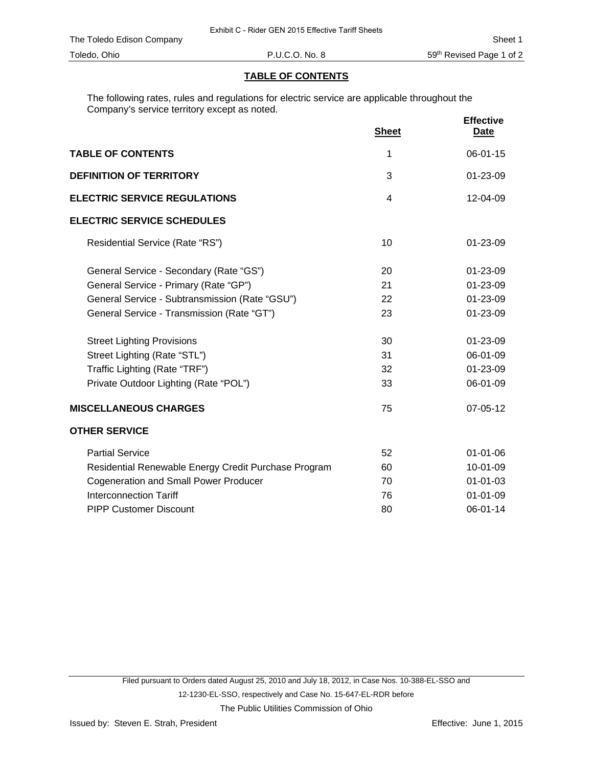## **TABLE OF CONTENTS**

The following rates, rules and regulations for electric service are applicable throughout the Company's service territory except as noted.

|                                                      | <b>Sheet</b>   | <b>Effective</b><br><b>Date</b> |
|------------------------------------------------------|----------------|---------------------------------|
| <b>TABLE OF CONTENTS</b>                             | 1              | $06 - 01 - 15$                  |
| <b>DEFINITION OF TERRITORY</b>                       | 3              | $01 - 23 - 09$                  |
| <b>ELECTRIC SERVICE REGULATIONS</b>                  | $\overline{4}$ | 12-04-09                        |
| <b>ELECTRIC SERVICE SCHEDULES</b>                    |                |                                 |
| Residential Service (Rate "RS")                      | 10             | $01 - 23 - 09$                  |
| General Service - Secondary (Rate "GS")              | 20             | 01-23-09                        |
| General Service - Primary (Rate "GP")                | 21             | 01-23-09                        |
| General Service - Subtransmission (Rate "GSU")       | 22             | 01-23-09                        |
| General Service - Transmission (Rate "GT")           | 23             | 01-23-09                        |
| <b>Street Lighting Provisions</b>                    | 30             | 01-23-09                        |
| Street Lighting (Rate "STL")                         | 31             | 06-01-09                        |
| Traffic Lighting (Rate "TRF")                        | 32             | 01-23-09                        |
| Private Outdoor Lighting (Rate "POL")                | 33             | 06-01-09                        |
| <b>MISCELLANEOUS CHARGES</b>                         | 75             | 07-05-12                        |
| <b>OTHER SERVICE</b>                                 |                |                                 |
| <b>Partial Service</b>                               | 52             | $01 - 01 - 06$                  |
| Residential Renewable Energy Credit Purchase Program | 60             | 10-01-09                        |
| <b>Cogeneration and Small Power Producer</b>         | 70             | $01 - 01 - 03$                  |
| <b>Interconnection Tariff</b>                        | 76             | $01 - 01 - 09$                  |
| <b>PIPP Customer Discount</b>                        | 80             | 06-01-14                        |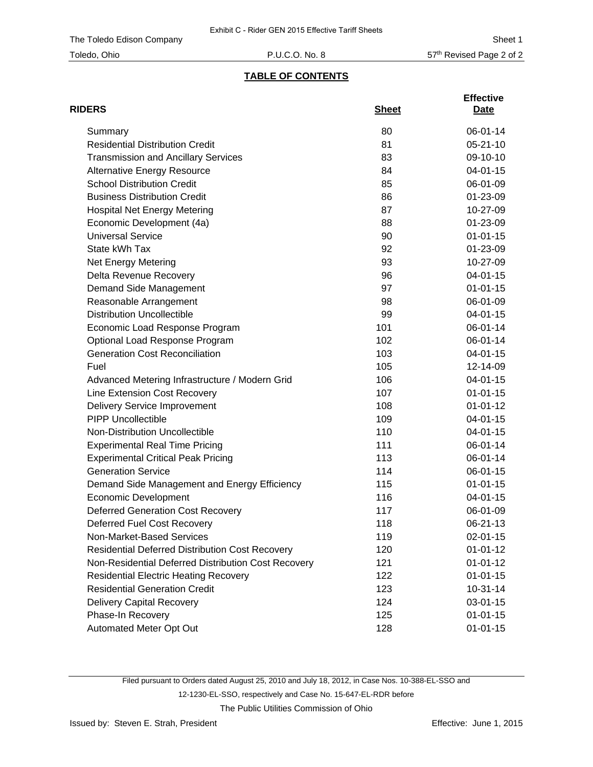## **TABLE OF CONTENTS**

| <b>RIDERS</b>                                          | <b>Sheet</b> | <b>Effective</b><br>Date |
|--------------------------------------------------------|--------------|--------------------------|
| Summary                                                | 80           | 06-01-14                 |
| <b>Residential Distribution Credit</b>                 | 81           | $05 - 21 - 10$           |
| <b>Transmission and Ancillary Services</b>             | 83           | 09-10-10                 |
| <b>Alternative Energy Resource</b>                     | 84           | $04 - 01 - 15$           |
| <b>School Distribution Credit</b>                      | 85           | 06-01-09                 |
| <b>Business Distribution Credit</b>                    | 86           | 01-23-09                 |
| <b>Hospital Net Energy Metering</b>                    | 87           | 10-27-09                 |
| Economic Development (4a)                              | 88           | 01-23-09                 |
| <b>Universal Service</b>                               | 90           | $01 - 01 - 15$           |
| State kWh Tax                                          | 92           | 01-23-09                 |
| Net Energy Metering                                    | 93           | 10-27-09                 |
| Delta Revenue Recovery                                 | 96           | $04 - 01 - 15$           |
| Demand Side Management                                 | 97           | $01 - 01 - 15$           |
| Reasonable Arrangement                                 | 98           | 06-01-09                 |
| <b>Distribution Uncollectible</b>                      | 99           | 04-01-15                 |
| Economic Load Response Program                         | 101          | 06-01-14                 |
| Optional Load Response Program                         | 102          | 06-01-14                 |
| <b>Generation Cost Reconciliation</b>                  | 103          | $04 - 01 - 15$           |
| Fuel                                                   | 105          | 12-14-09                 |
| Advanced Metering Infrastructure / Modern Grid         | 106          | 04-01-15                 |
| Line Extension Cost Recovery                           | 107          | $01 - 01 - 15$           |
| <b>Delivery Service Improvement</b>                    | 108          | $01 - 01 - 12$           |
| <b>PIPP Uncollectible</b>                              | 109          | 04-01-15                 |
| Non-Distribution Uncollectible                         | 110          | 04-01-15                 |
| <b>Experimental Real Time Pricing</b>                  | 111          | 06-01-14                 |
| <b>Experimental Critical Peak Pricing</b>              | 113          | 06-01-14                 |
| <b>Generation Service</b>                              | 114          | 06-01-15                 |
| Demand Side Management and Energy Efficiency           | 115          | $01 - 01 - 15$           |
| <b>Economic Development</b>                            | 116          | $04 - 01 - 15$           |
| <b>Deferred Generation Cost Recovery</b>               | 117          | 06-01-09                 |
| Deferred Fuel Cost Recovery                            | 118          | 06-21-13                 |
| Non-Market-Based Services                              | 119          | $02 - 01 - 15$           |
| <b>Residential Deferred Distribution Cost Recovery</b> | 120          | $01 - 01 - 12$           |
| Non-Residential Deferred Distribution Cost Recovery    | 121          | $01 - 01 - 12$           |
| <b>Residential Electric Heating Recovery</b>           | 122          | $01 - 01 - 15$           |
| <b>Residential Generation Credit</b>                   | 123          | $10-31-14$               |
| <b>Delivery Capital Recovery</b>                       | 124          | 03-01-15                 |
| Phase-In Recovery                                      | 125          | $01 - 01 - 15$           |
| Automated Meter Opt Out                                | 128          | $01 - 01 - 15$           |

Filed pursuant to Orders dated August 25, 2010 and July 18, 2012, in Case Nos. 10-388-EL-SSO and 12-1230-EL-SSO, respectively and Case No. 15-647-EL-RDR before The Public Utilities Commission of Ohio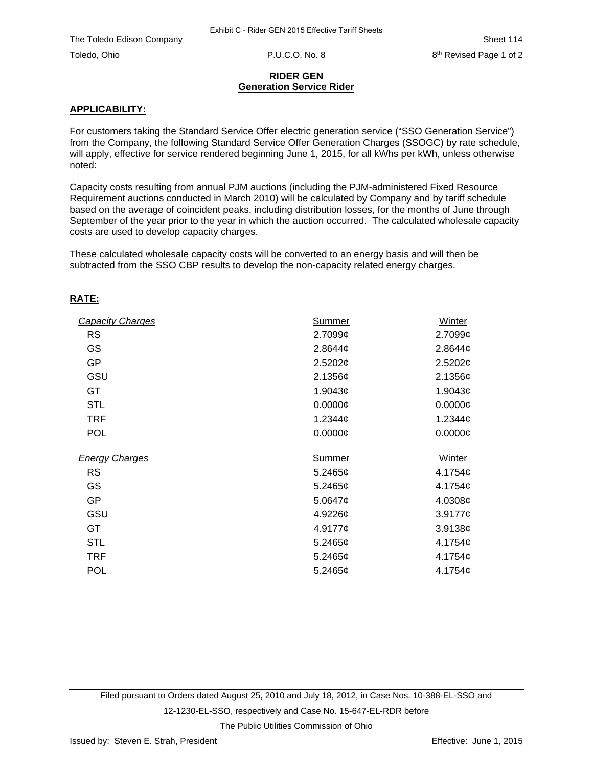## **RIDER GEN Generation Service Rider**

## **APPLICABILITY:**

For customers taking the Standard Service Offer electric generation service ("SSO Generation Service") from the Company, the following Standard Service Offer Generation Charges (SSOGC) by rate schedule, will apply, effective for service rendered beginning June 1, 2015, for all kWhs per kWh, unless otherwise noted:

Capacity costs resulting from annual PJM auctions (including the PJM-administered Fixed Resource Requirement auctions conducted in March 2010) will be calculated by Company and by tariff schedule based on the average of coincident peaks, including distribution losses, for the months of June through September of the year prior to the year in which the auction occurred. The calculated wholesale capacity costs are used to develop capacity charges.

These calculated wholesale capacity costs will be converted to an energy basis and will then be subtracted from the SSO CBP results to develop the non-capacity related energy charges.

## **RATE:**

| <b>Capacity Charges</b> | Summer        | Winter              |
|-------------------------|---------------|---------------------|
| <b>RS</b>               | 2.7099¢       | 2.7099¢             |
| GS                      | 2.8644 $\phi$ | 2.8644¢             |
| <b>GP</b>               | 2.5202¢       | 2.5202¢             |
| GSU                     | 2.1356¢       | 2.1356¢             |
| GT                      | 1.9043 $¢$    | 1.9043 <sub>¢</sub> |
| <b>STL</b>              | $0.0000$ ¢    | $0.0000$ ¢          |
| <b>TRF</b>              | $1.2344$ ¢    | 1.2344 $\phi$       |
| <b>POL</b>              | $0.0000$ ¢    | $0.0000$ ¢          |
| <b>Energy Charges</b>   | Summer        | Winter              |
| <b>RS</b>               | 5.2465 $\phi$ | 4.1754 $\phi$       |
| GS                      | $5.2465$ ¢    | 4.1754 $\phi$       |
| <b>GP</b>               | 5.0647¢       | 4.0308¢             |
| GSU                     | 4.9226¢       | $3.9177$ ¢          |
| GT.                     | 4.9177¢       | 3.9138¢             |
| <b>STL</b>              | $5.2465$ ¢    | 4.1754 $\phi$       |
| <b>TRF</b>              | 5.2465¢       | 4.1754 $\phi$       |
| <b>POL</b>              | 5.2465¢       | 4.1754 $\phi$       |

Filed pursuant to Orders dated August 25, 2010 and July 18, 2012, in Case Nos. 10-388-EL-SSO and 12-1230-EL-SSO, respectively and Case No. 15-647-EL-RDR before

The Public Utilities Commission of Ohio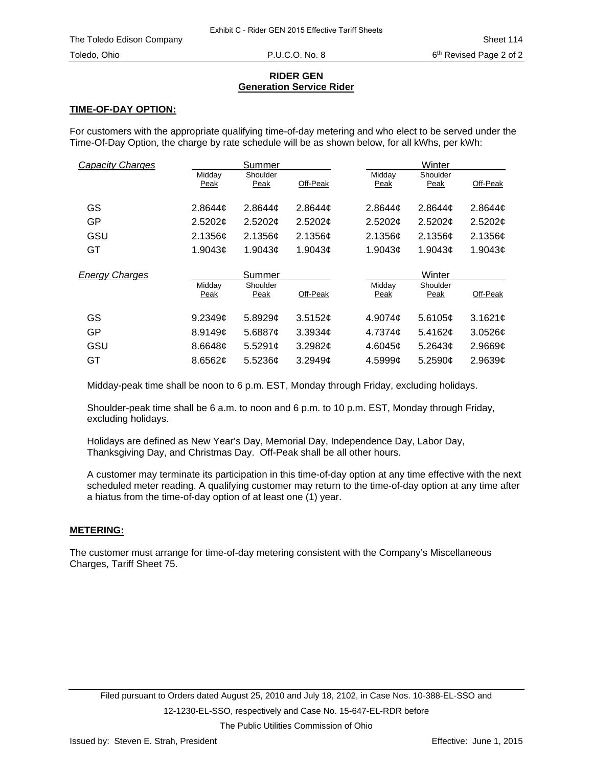## **RIDER GEN Generation Service Rider**

## **TIME-OF-DAY OPTION:**

For customers with the appropriate qualifying time-of-day metering and who elect to be served under the Time-Of-Day Option, the charge by rate schedule will be as shown below, for all kWhs, per kWh:

| <b>Capacity Charges</b> |                | Summer              |          | Winter         |                  |                     |  |
|-------------------------|----------------|---------------------|----------|----------------|------------------|---------------------|--|
|                         | Midday<br>Peak | Shoulder<br>Peak    | Off-Peak | Midday<br>Peak | Shoulder<br>Peak | Off-Peak            |  |
| GS                      | 2.8644c        | 2.8644 <sub>¢</sub> | 2.8644c  | 2.8644c        | 2.8644c          | 2.8644 <sub>¢</sub> |  |
| GP                      | 2.5202¢        | 2.5202¢             | 2.5202¢  | 2.5202¢        | 2.5202¢          | 2.5202¢             |  |
| GSU                     | 2.1356c        | 2.1356c             | 2.1356¢  | 2.1356c        | 2.1356c          | 2.1356c             |  |
| GT                      | 1.9043c        | 1.9043c             | 1.9043c  | 1.9043c        | 1.9043c          | 1.9043c             |  |
|                         |                |                     |          |                |                  |                     |  |
|                         |                | Summer              |          |                | Winter           |                     |  |
| <b>Energy Charges</b>   | Midday<br>Peak | Shoulder<br>Peak    | Off-Peak | Midday<br>Peak | Shoulder<br>Peak | Off-Peak            |  |
| GS                      | 9.2349c        | 5.8929c             | 3.5152c  | 4.9074c        | 5.6105c          | 3.1621¢             |  |
| GP                      | 8.9149c        | 5.6887 $\phi$       | 3.3934c  | 4.7374c        | 5.4162 $\sigma$  | $3.0526$ ¢          |  |
| GSU                     | 8.6648¢        | 5.5291¢             | 3.2982c  | 4.6045c        | 5.2643¢          | 2.9669¢             |  |

Midday-peak time shall be noon to 6 p.m. EST, Monday through Friday, excluding holidays.

Shoulder-peak time shall be 6 a.m. to noon and 6 p.m. to 10 p.m. EST, Monday through Friday, excluding holidays.

Holidays are defined as New Year's Day, Memorial Day, Independence Day, Labor Day, Thanksgiving Day, and Christmas Day. Off-Peak shall be all other hours.

A customer may terminate its participation in this time-of-day option at any time effective with the next scheduled meter reading. A qualifying customer may return to the time-of-day option at any time after a hiatus from the time-of-day option of at least one (1) year.

## **METERING:**

The customer must arrange for time-of-day metering consistent with the Company's Miscellaneous Charges, Tariff Sheet 75.

The Public Utilities Commission of Ohio